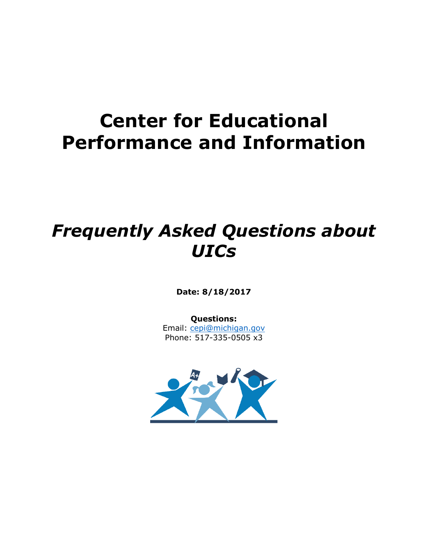# **Center for Educational Performance and Information**

# *Frequently Asked Questions about UICs*

**Date: 8/18/2017**

**Questions:** Email: [cepi@michigan.gov](mailto:cepi@michigan.gov)

Phone: 517-335-0505 x3

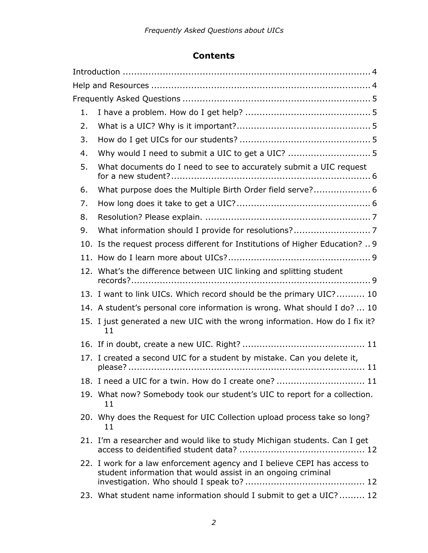## **Contents**

| 1. |                                                                                                                                          |
|----|------------------------------------------------------------------------------------------------------------------------------------------|
| 2. |                                                                                                                                          |
| 3. |                                                                                                                                          |
| 4. | Why would I need to submit a UIC to get a UIC?  5                                                                                        |
| 5. | What documents do I need to see to accurately submit a UIC request                                                                       |
| 6. | What purpose does the Multiple Birth Order field serve? 6                                                                                |
| 7. |                                                                                                                                          |
| 8. |                                                                                                                                          |
| 9. |                                                                                                                                          |
|    | 10. Is the request process different for Institutions of Higher Education?  9                                                            |
|    |                                                                                                                                          |
|    | 12. What's the difference between UIC linking and splitting student                                                                      |
|    | 13. I want to link UICs. Which record should be the primary UIC? 10                                                                      |
|    | 14. A student's personal core information is wrong. What should I do?  10                                                                |
|    | 15. I just generated a new UIC with the wrong information. How do I fix it?<br>11                                                        |
|    |                                                                                                                                          |
|    | 17. I created a second UIC for a student by mistake. Can you delete it,                                                                  |
|    | 18. I need a UIC for a twin. How do I create one?  11                                                                                    |
|    | 19. What now? Somebody took our student's UIC to report for a collection.<br>11                                                          |
|    | 20. Why does the Request for UIC Collection upload process take so long?<br>11                                                           |
|    | 21. I'm a researcher and would like to study Michigan students. Can I get                                                                |
|    | 22. I work for a law enforcement agency and I believe CEPI has access to<br>student information that would assist in an ongoing criminal |
|    | 23. What student name information should I submit to get a UIC?  12                                                                      |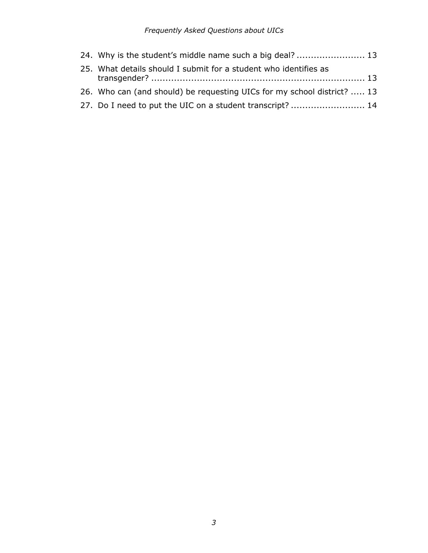#### *Frequently Asked Questions about UICs*

| 24. Why is the student's middle name such a big deal?  13               |  |
|-------------------------------------------------------------------------|--|
| 25. What details should I submit for a student who identifies as        |  |
|                                                                         |  |
| 26. Who can (and should) be requesting UICs for my school district?  13 |  |
| 27. Do I need to put the UIC on a student transcript?  14               |  |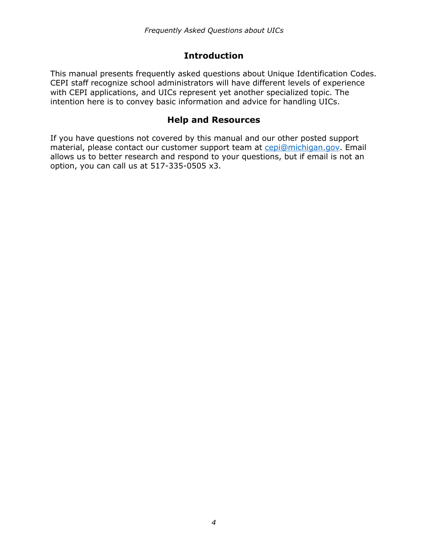## **Introduction**

<span id="page-3-0"></span>This manual presents frequently asked questions about Unique Identification Codes. CEPI staff recognize school administrators will have different levels of experience with CEPI applications, and UICs represent yet another specialized topic. The intention here is to convey basic information and advice for handling UICs.

## **Help and Resources**

<span id="page-3-1"></span>If you have questions not covered by this manual and our other posted support material, please contact our customer support team at [cepi@michigan.gov.](mailto:cepi@michigan.gov) Email allows us to better research and respond to your questions, but if email is not an option, you can call us at 517-335-0505 x3.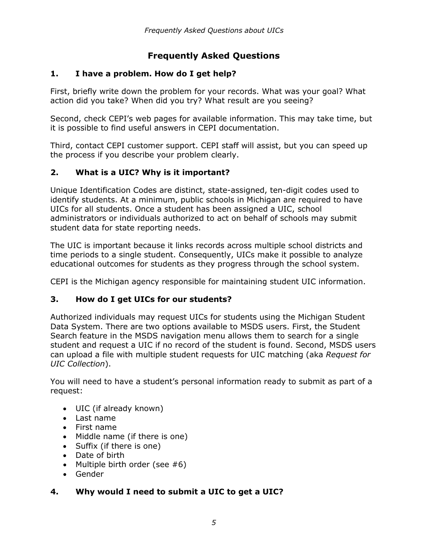## **Frequently Asked Questions**

## <span id="page-4-1"></span><span id="page-4-0"></span>**1. I have a problem. How do I get help?**

First, briefly write down the problem for your records. What was your goal? What action did you take? When did you try? What result are you seeing?

Second, check CEPI's web pages for available information. This may take time, but it is possible to find useful answers in CEPI documentation.

Third, contact CEPI customer support. CEPI staff will assist, but you can speed up the process if you describe your problem clearly.

## <span id="page-4-2"></span>**2. What is a UIC? Why is it important?**

Unique Identification Codes are distinct, state-assigned, ten-digit codes used to identify students. At a minimum, public schools in Michigan are required to have UICs for all students. Once a student has been assigned a UIC, school administrators or individuals authorized to act on behalf of schools may submit student data for state reporting needs.

The UIC is important because it links records across multiple school districts and time periods to a single student. Consequently, UICs make it possible to analyze educational outcomes for students as they progress through the school system.

CEPI is the Michigan agency responsible for maintaining student UIC information.

## <span id="page-4-3"></span>**3. How do I get UICs for our students?**

Authorized individuals may request UICs for students using the Michigan Student Data System. There are two options available to MSDS users. First, the Student Search feature in the MSDS navigation menu allows them to search for a single student and request a UIC if no record of the student is found. Second, MSDS users can upload a file with multiple student requests for UIC matching (aka *Request for UIC Collection*).

You will need to have a student's personal information ready to submit as part of a request:

- UIC (if already known)
- Last name
- First name
- Middle name (if there is one)
- Suffix (if there is one)
- Date of birth
- Multiple birth order (see  $#6$ )
- Gender

## <span id="page-4-4"></span>**4. Why would I need to submit a UIC to get a UIC?**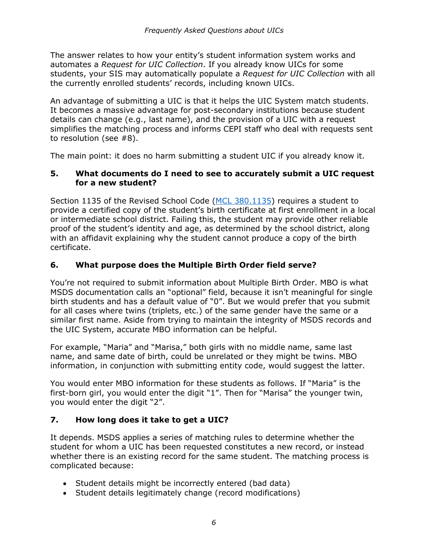The answer relates to how your entity's student information system works and automates a *Request for UIC Collection*. If you already know UICs for some students, your SIS may automatically populate a *Request for UIC Collection* with all the currently enrolled students' records, including known UICs.

An advantage of submitting a UIC is that it helps the UIC System match students. It becomes a massive advantage for post-secondary institutions because student details can change (e.g., last name), and the provision of a UIC with a request simplifies the matching process and informs CEPI staff who deal with requests sent to resolution (see #8).

The main point: it does no harm submitting a student UIC if you already know it.

#### <span id="page-5-0"></span>**5. What documents do I need to see to accurately submit a UIC request for a new student?**

Section 1135 of the Revised School Code [\(MCL 380.1135\)](http://www.legislature.mi.gov/(S(0swjjoh13n0gytqs3vfeu4zl))/mileg.aspx?page=GetMCLDocument&objectname=mcl-380-1135%20) requires a student to provide a certified copy of the student's birth certificate at first enrollment in a local or intermediate school district. Failing this, the student may provide other reliable proof of the student's identity and age, as determined by the school district, along with an affidavit explaining why the student cannot produce a copy of the birth certificate.

## <span id="page-5-1"></span>**6. What purpose does the Multiple Birth Order field serve?**

You're not required to submit information about Multiple Birth Order. MBO is what MSDS documentation calls an "optional" field, because it isn't meaningful for single birth students and has a default value of "0". But we would prefer that you submit for all cases where twins (triplets, etc.) of the same gender have the same or a similar first name. Aside from trying to maintain the integrity of MSDS records and the UIC System, accurate MBO information can be helpful.

For example, "Maria" and "Marisa," both girls with no middle name, same last name, and same date of birth, could be unrelated or they might be twins. MBO information, in conjunction with submitting entity code, would suggest the latter.

You would enter MBO information for these students as follows. If "Maria" is the first-born girl, you would enter the digit "1". Then for "Marisa" the younger twin, you would enter the digit "2".

## <span id="page-5-2"></span>**7. How long does it take to get a UIC?**

It depends. MSDS applies a series of matching rules to determine whether the student for whom a UIC has been requested constitutes a new record, or instead whether there is an existing record for the same student. The matching process is complicated because:

- Student details might be incorrectly entered (bad data)
- Student details legitimately change (record modifications)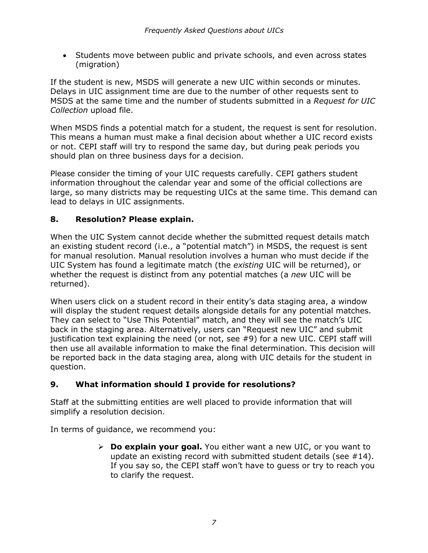• Students move between public and private schools, and even across states (migration)

If the student is new, MSDS will generate a new UIC within seconds or minutes. Delays in UIC assignment time are due to the number of other requests sent to MSDS at the same time and the number of students submitted in a *Request for UIC Collection* upload file.

When MSDS finds a potential match for a student, the request is sent for resolution. This means a human must make a final decision about whether a UIC record exists or not. CEPI staff will try to respond the same day, but during peak periods you should plan on three business days for a decision.

Please consider the timing of your UIC requests carefully. CEPI gathers student information throughout the calendar year and some of the official collections are large, so many districts may be requesting UICs at the same time. This demand can lead to delays in UIC assignments.

## <span id="page-6-0"></span>**8. Resolution? Please explain.**

When the UIC System cannot decide whether the submitted request details match an existing student record (i.e., a "potential match") in MSDS, the request is sent for manual resolution. Manual resolution involves a human who must decide if the UIC System has found a legitimate match (the *existing* UIC will be returned), or whether the request is distinct from any potential matches (a *new* UIC will be returned).

When users click on a student record in their entity's data staging area, a window will display the student request details alongside details for any potential matches. They can select to "Use This Potential" match, and they will see the match's UIC back in the staging area. Alternatively, users can "Request new UIC" and submit justification text explaining the need (or not, see #9) for a new UIC. CEPI staff will then use all available information to make the final determination. This decision will be reported back in the data staging area, along with UIC details for the student in question.

## <span id="page-6-1"></span>**9. What information should I provide for resolutions?**

Staff at the submitting entities are well placed to provide information that will simplify a resolution decision.

In terms of guidance, we recommend you:

 **Do explain your goal.** You either want a new UIC, or you want to update an existing record with submitted student details (see  $#14$ ). If you say so, the CEPI staff won't have to guess or try to reach you to clarify the request.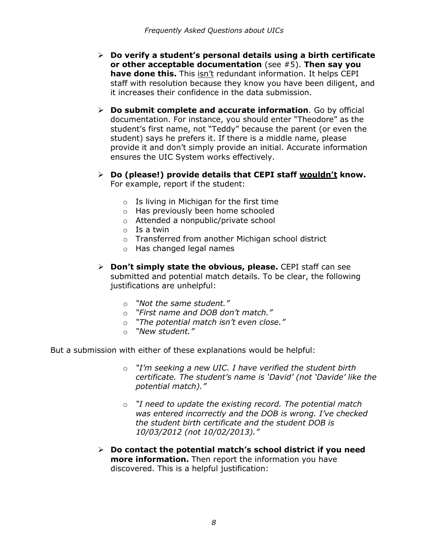- **Do verify a student's personal details using a birth certificate or other acceptable documentation** (see #5). **Then say you have done this.** This isn't redundant information. It helps CEPI staff with resolution because they know you have been diligent, and it increases their confidence in the data submission.
- **Do submit complete and accurate information**. Go by official documentation. For instance, you should enter "Theodore" as the student's first name, not "Teddy" because the parent (or even the student) says he prefers it. If there is a middle name, please provide it and don't simply provide an initial. Accurate information ensures the UIC System works effectively.
- **Do (please!) provide details that CEPI staff wouldn't know.**  For example, report if the student:
	- o Is living in Michigan for the first time
	- o Has previously been home schooled
	- o Attended a nonpublic/private school
	- o Is a twin
	- o Transferred from another Michigan school district
	- o Has changed legal names
- **Don't simply state the obvious, please.** CEPI staff can see submitted and potential match details. To be clear, the following justifications are unhelpful:
	-
	- o *"Not the same student."* o *"First name and DOB don't match."*
	- o *"The potential match isn't even close."*
	- o *"New student."*

But a submission with either of these explanations would be helpful:

- o *"I'm seeking a new UIC. I have verified the student birth certificate. The student's name is 'David' (not 'Davide' like the potential match)."*
- o *"I need to update the existing record. The potential match was entered incorrectly and the DOB is wrong. I've checked the student birth certificate and the student DOB is 10/03/2012 (not 10/02/2013)."*
- **Do contact the potential match's school district if you need more information.** Then report the information you have discovered. This is a helpful justification: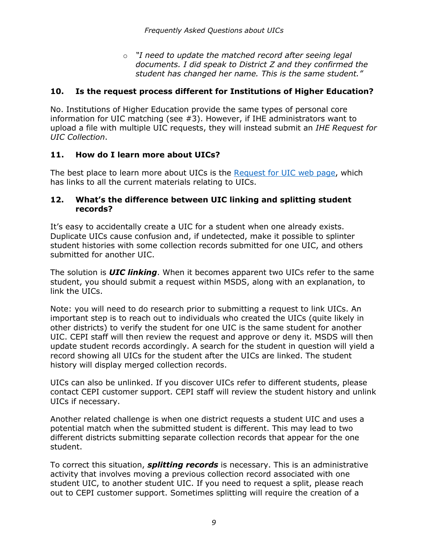o *"I need to update the matched record after seeing legal documents. I did speak to District Z and they confirmed the student has changed her name. This is the same student."*

### <span id="page-8-0"></span>**10. Is the request process different for Institutions of Higher Education?**

No. Institutions of Higher Education provide the same types of personal core information for UIC matching (see #3). However, if IHE administrators want to upload a file with multiple UIC requests, they will instead submit an *IHE Request for UIC Collection*.

#### <span id="page-8-1"></span>**11. How do I learn more about UICs?**

The best place to learn more about UICs is the [Request for UIC web page,](https://www.michigan.gov/cepi/pk-12/msds/request-for-uic) which has links to all the current materials relating to UICs.

#### <span id="page-8-2"></span>**12. What's the difference between UIC linking and splitting student records?**

It's easy to accidentally create a UIC for a student when one already exists. Duplicate UICs cause confusion and, if undetected, make it possible to splinter student histories with some collection records submitted for one UIC, and others submitted for another UIC.

The solution is *UIC linking*. When it becomes apparent two UICs refer to the same student, you should submit a request within MSDS, along with an explanation, to link the UICs.

Note: you will need to do research prior to submitting a request to link UICs. An important step is to reach out to individuals who created the UICs (quite likely in other districts) to verify the student for one UIC is the same student for another UIC. CEPI staff will then review the request and approve or deny it. MSDS will then update student records accordingly. A search for the student in question will yield a record showing all UICs for the student after the UICs are linked. The student history will display merged collection records.

UICs can also be unlinked. If you discover UICs refer to different students, please contact CEPI customer support. CEPI staff will review the student history and unlink UICs if necessary.

Another related challenge is when one district requests a student UIC and uses a potential match when the submitted student is different. This may lead to two different districts submitting separate collection records that appear for the one student.

To correct this situation, *splitting records* is necessary. This is an administrative activity that involves moving a previous collection record associated with one student UIC, to another student UIC. If you need to request a split, please reach out to CEPI customer support. Sometimes splitting will require the creation of a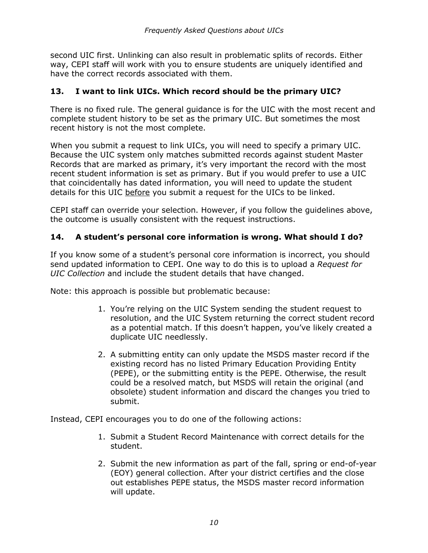second UIC first. Unlinking can also result in problematic splits of records. Either way, CEPI staff will work with you to ensure students are uniquely identified and have the correct records associated with them.

### <span id="page-9-0"></span>**13. I want to link UICs. Which record should be the primary UIC?**

There is no fixed rule. The general guidance is for the UIC with the most recent and complete student history to be set as the primary UIC. But sometimes the most recent history is not the most complete.

When you submit a request to link UICs, you will need to specify a primary UIC. Because the UIC system only matches submitted records against student Master Records that are marked as primary, it's very important the record with the most recent student information is set as primary. But if you would prefer to use a UIC that coincidentally has dated information, you will need to update the student details for this UIC before you submit a request for the UICs to be linked.

CEPI staff can override your selection. However, if you follow the guidelines above, the outcome is usually consistent with the request instructions.

#### <span id="page-9-1"></span>**14. A student's personal core information is wrong. What should I do?**

If you know some of a student's personal core information is incorrect, you should send updated information to CEPI. One way to do this is to upload a *Request for UIC Collection* and include the student details that have changed.

Note: this approach is possible but problematic because:

- 1. You're relying on the UIC System sending the student request to resolution, and the UIC System returning the correct student record as a potential match. If this doesn't happen, you've likely created a duplicate UIC needlessly.
- 2. A submitting entity can only update the MSDS master record if the existing record has no listed Primary Education Providing Entity (PEPE), or the submitting entity is the PEPE. Otherwise, the result could be a resolved match, but MSDS will retain the original (and obsolete) student information and discard the changes you tried to submit.

Instead, CEPI encourages you to do one of the following actions:

- 1. Submit a Student Record Maintenance with correct details for the student.
- 2. Submit the new information as part of the fall, spring or end-of-year (EOY) general collection. After your district certifies and the close out establishes PEPE status, the MSDS master record information will update.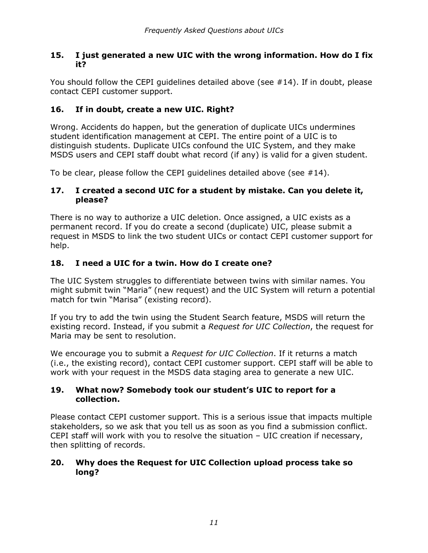#### <span id="page-10-0"></span>**15. I just generated a new UIC with the wrong information. How do I fix it?**

You should follow the CEPI guidelines detailed above (see #14). If in doubt, please contact CEPI customer support.

## <span id="page-10-1"></span>**16. If in doubt, create a new UIC. Right?**

Wrong. Accidents do happen, but the generation of duplicate UICs undermines student identification management at CEPI. The entire point of a UIC is to distinguish students. Duplicate UICs confound the UIC System, and they make MSDS users and CEPI staff doubt what record (if any) is valid for a given student.

To be clear, please follow the CEPI guidelines detailed above (see  $#14$ ).

#### <span id="page-10-2"></span>**17. I created a second UIC for a student by mistake. Can you delete it, please?**

There is no way to authorize a UIC deletion. Once assigned, a UIC exists as a permanent record. If you do create a second (duplicate) UIC, please submit a request in MSDS to link the two student UICs or contact CEPI customer support for help.

## <span id="page-10-3"></span>**18. I need a UIC for a twin. How do I create one?**

The UIC System struggles to differentiate between twins with similar names. You might submit twin "Maria" (new request) and the UIC System will return a potential match for twin "Marisa" (existing record).

If you try to add the twin using the Student Search feature, MSDS will return the existing record. Instead, if you submit a *Request for UIC Collection*, the request for Maria may be sent to resolution.

We encourage you to submit a *Request for UIC Collection*. If it returns a match (i.e., the existing record), contact CEPI customer support. CEPI staff will be able to work with your request in the MSDS data staging area to generate a new UIC.

#### <span id="page-10-4"></span>**19. What now? Somebody took our student's UIC to report for a collection.**

Please contact CEPI customer support. This is a serious issue that impacts multiple stakeholders, so we ask that you tell us as soon as you find a submission conflict. CEPI staff will work with you to resolve the situation – UIC creation if necessary, then splitting of records.

#### <span id="page-10-5"></span>**20. Why does the Request for UIC Collection upload process take so long?**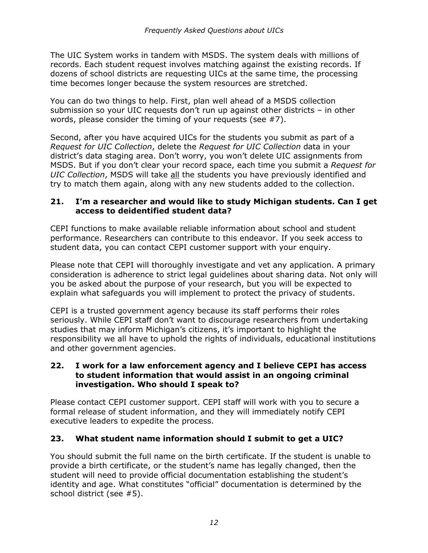The UIC System works in tandem with MSDS. The system deals with millions of records. Each student request involves matching against the existing records. If dozens of school districts are requesting UICs at the same time, the processing time becomes longer because the system resources are stretched.

You can do two things to help. First, plan well ahead of a MSDS collection submission so your UIC requests don't run up against other districts – in other words, please consider the timing of your requests (see #7).

Second, after you have acquired UICs for the students you submit as part of a *Request for UIC Collection*, delete the *Request for UIC Collection* data in your district's data staging area. Don't worry, you won't delete UIC assignments from MSDS. But if you don't clear your record space, each time you submit a *Request for UIC Collection*, MSDS will take all the students you have previously identified and try to match them again, along with any new students added to the collection.

#### <span id="page-11-0"></span>**21. I'm a researcher and would like to study Michigan students. Can I get access to deidentified student data?**

CEPI functions to make available reliable information about school and student performance. Researchers can contribute to this endeavor. If you seek access to student data, you can contact CEPI customer support with your enquiry.

Please note that CEPI will thoroughly investigate and vet any application. A primary consideration is adherence to strict legal guidelines about sharing data. Not only will you be asked about the purpose of your research, but you will be expected to explain what safeguards you will implement to protect the privacy of students.

CEPI is a trusted government agency because its staff performs their roles seriously. While CEPI staff don't want to discourage researchers from undertaking studies that may inform Michigan's citizens, it's important to highlight the responsibility we all have to uphold the rights of individuals, educational institutions and other government agencies.

#### <span id="page-11-1"></span>**22. I work for a law enforcement agency and I believe CEPI has access to student information that would assist in an ongoing criminal investigation. Who should I speak to?**

Please contact CEPI customer support. CEPI staff will work with you to secure a formal release of student information, and they will immediately notify CEPI executive leaders to expedite the process.

## <span id="page-11-2"></span>**23. What student name information should I submit to get a UIC?**

You should submit the full name on the birth certificate. If the student is unable to provide a birth certificate, or the student's name has legally changed, then the student will need to provide official documentation establishing the student's identity and age. What constitutes "official" documentation is determined by the school district (see #5).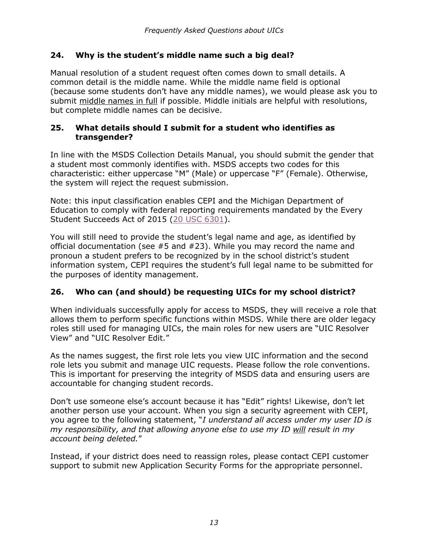### <span id="page-12-0"></span>**24. Why is the student's middle name such a big deal?**

Manual resolution of a student request often comes down to small details. A common detail is the middle name. While the middle name field is optional (because some students don't have any middle names), we would please ask you to submit middle names in full if possible. Middle initials are helpful with resolutions, but complete middle names can be decisive.

#### <span id="page-12-1"></span>**25. What details should I submit for a student who identifies as transgender?**

In line with the MSDS Collection Details Manual, you should submit the gender that a student most commonly identifies with. MSDS accepts two codes for this characteristic: either uppercase "M" (Male) or uppercase "F" (Female). Otherwise, the system will reject the request submission.

Note: this input classification enables CEPI and the Michigan Department of Education to comply with federal reporting requirements mandated by the Every Student Succeeds Act of 2015 (20 USC [6301\)](https://www.congress.gov/bill/114th-congress/senate-bill/1177/text).

You will still need to provide the student's legal name and age, as identified by official documentation (see #5 and #23). While you may record the name and pronoun a student prefers to be recognized by in the school district's student information system, CEPI requires the student's full legal name to be submitted for the purposes of identity management.

## <span id="page-12-2"></span>**26. Who can (and should) be requesting UICs for my school district?**

When individuals successfully apply for access to MSDS, they will receive a role that allows them to perform specific functions within MSDS. While there are older legacy roles still used for managing UICs, the main roles for new users are "UIC Resolver View" and "UIC Resolver Edit."

As the names suggest, the first role lets you view UIC information and the second role lets you submit and manage UIC requests. Please follow the role conventions. This is important for preserving the integrity of MSDS data and ensuring users are accountable for changing student records.

Don't use someone else's account because it has "Edit" rights! Likewise, don't let another person use your account. When you sign a security agreement with CEPI, you agree to the following statement, "*I understand all access under my user ID is my responsibility, and that allowing anyone else to use my ID will result in my account being deleted.*"

Instead, if your district does need to reassign roles, please contact CEPI customer support to submit new Application Security Forms for the appropriate personnel.